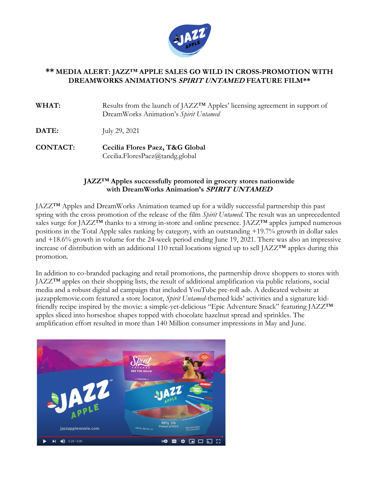

## **\*\* MEDIA ALERT: JAZZ™ APPLE SALES GO WILD IN CROSS-PROMOTION WITH DREAMWORKS ANIMATION'S SPIRIT UNTAMED FEATURE FILM\*\***

**WHAT:** Results from the launch of JAZZ™ Apples' licensing agreement in support of DreamWorks Animation's *Spirit Untamed*

**DATE:** July 29, 2021

**CONTACT: Cecilia Flores Paez, T&G Global** Cecilia.FloresPaez@tandg.global

#### **JAZZ™ Apples successfully promoted in grocery stores nationwide with DreamWorks Animation's SPIRIT UNTAMED**

JAZZ™ Apples and DreamWorks Animation teamed up for a wildly successful partnership this past spring with the cross promotion of the release of the film *Spirit Untamed*. The result was an unprecedented sales surge for JAZZ<sup>™</sup> thanks to a strong in-store and online presence. JAZZ<sup>™</sup> apples jumped numerous positions in the Total Apple sales ranking by category, with an outstanding +19.7% growth in dollar sales and +18.6% growth in volume for the 24-week period ending June 19, 2021. There was also an impressive increase of distribution with an additional 110 retail locations signed up to sell JAZZ™ apples during this promotion.

In addition to co-branded packaging and retail promotions, the partnership drove shoppers to stores with JAZZ™ apples on their shopping lists, the result of additional amplification via public relations, social media and a robust digital ad campaign that included YouTube pre-roll ads. A dedicated website at jazzapplemovie.com featured a store locator, *Spirit Untamed*-themed kids' activities and a signature kidfriendly recipe inspired by the movie: a simple-yet-delicious "Epic Adventure Snack" featuring JAZZ™ apples sliced into horseshoe shapes topped with chocolate hazelnut spread and sprinkles. The amplification effort resulted in more than 140 Million consumer impressions in May and June.

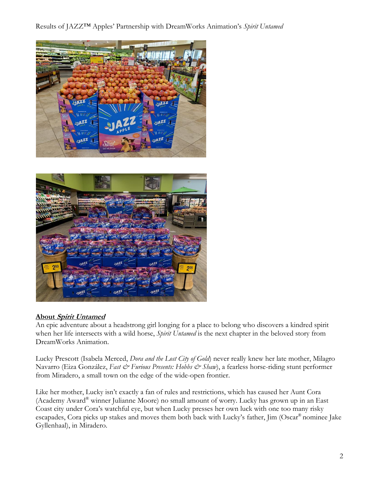# Results of JAZZ™ Apples' Partnership with DreamWorks Animation's *Spirit Untamed*





## **About Spirit Untamed**

An epic adventure about a headstrong girl longing for a place to belong who discovers a kindred spirit when her life intersects with a wild horse, *Spirit Untamed* is the next chapter in the beloved story from DreamWorks Animation.

Lucky Prescott (Isabela Merced, *Dora and the Lost City of Gold*) never really knew her late mother, Milagro Navarro (Eiza González, Fast & Furious Presents: Hobbs & Shaw), a fearless horse-riding stunt performer from Miradero, a small town on the edge of the wide-open frontier.

Like her mother, Lucky isn't exactly a fan of rules and restrictions, which has caused her Aunt Cora (Academy Award® winner Julianne Moore) no small amount of worry. Lucky has grown up in an East Coast city under Cora's watchful eye, but when Lucky presses her own luck with one too many risky escapades, Cora picks up stakes and moves them both back with Lucky's father, Jim (Oscar® nominee Jake Gyllenhaal), in Miradero.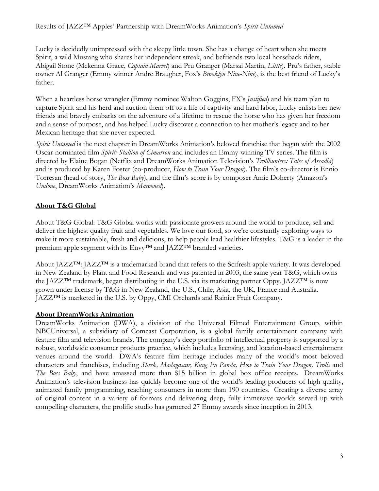#### Results of JAZZ™ Apples' Partnership with DreamWorks Animation's *Spirit Untamed*

Lucky is decidedly unimpressed with the sleepy little town. She has a change of heart when she meets Spirit, a wild Mustang who shares her independent streak, and befriends two local horseback riders, Abigail Stone (Mckenna Grace, *Captain Marvel*) and Pru Granger (Marsai Martin, *Little*). Pru's father, stable owner Al Granger (Emmy winner Andre Braugher, Fox's *Brooklyn Nine-Nine*), is the best friend of Lucky's father.

When a heartless horse wrangler (Emmy nominee Walton Goggins, FX's *Justified*) and his team plan to capture Spirit and his herd and auction them off to a life of captivity and hard labor, Lucky enlists her new friends and bravely embarks on the adventure of a lifetime to rescue the horse who has given her freedom and a sense of purpose, and has helped Lucky discover a connection to her mother's legacy and to her Mexican heritage that she never expected.

*Spirit Untamed* is the next chapter in DreamWorks Animation's beloved franchise that began with the 2002 Oscar-nominated film *Spirit: Stallion of Cimarron* and includes an Emmy-winning TV series. The film is directed by Elaine Bogan (Netflix and DreamWorks Animation Television's *Trollhunters: Tales of Arcadia*) and is produced by Karen Foster (co-producer, *How to Train Your Dragon*). The film's co-director is Ennio Torresan (head of story, *The Boss Baby*), and the film's score is by composer Amie Doherty (Amazon's *Undone*, DreamWorks Animation's *Marooned*).

## **About T&G Global**

About T&G Global: T&G Global works with passionate growers around the world to produce, sell and deliver the highest quality fruit and vegetables. We love our food, so we're constantly exploring ways to make it more sustainable, fresh and delicious, to help people lead healthier lifestyles. T&G is a leader in the premium apple segment with its Envy™ and JAZZ™ branded varieties.

About JAZZ™: JAZZ™ is a trademarked brand that refers to the Scifresh apple variety. It was developed in New Zealand by Plant and Food Research and was patented in 2003, the same year T&G, which owns the JAZZ™ trademark, began distributing in the U.S. via its marketing partner Oppy. JAZZ™ is now grown under license by T&G in New Zealand, the U.S., Chile, Asia, the UK, France and Australia. JAZZ™ is marketed in the U.S. by Oppy, CMI Orchards and Rainier Fruit Company.

## **About DreamWorks Animation**

DreamWorks Animation (DWA), a division of the Universal Filmed Entertainment Group, within NBCUniversal, a subsidiary of Comcast Corporation, is a global family entertainment company with feature film and television brands. The company's deep portfolio of intellectual property is supported by a robust, worldwide consumer products practice, which includes licensing, and location-based entertainment venues around the world. DWA's feature film heritage includes many of the world's most beloved characters and franchises, including *Shrek, Madagascar, Kung Fu Panda, How to Train Your Dragon, Trolls* and *The Boss Baby*, and have amassed more than \$15 billion in global box office receipts. DreamWorks Animation's television business has quickly become one of the world's leading producers of high-quality, animated family programming, reaching consumers in more than 190 countries. Creating a diverse array of original content in a variety of formats and delivering deep, fully immersive worlds served up with compelling characters, the prolific studio has garnered 27 Emmy awards since inception in 2013.